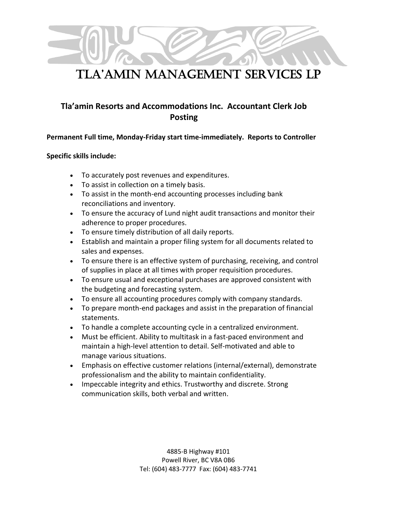# Tla'amin management services lp

### **Tla'amin Resorts and Accommodations Inc. Accountant Clerk Job Posting**

#### **Permanent Full time, Monday-Friday start time-immediately. Reports to Controller**

#### **Specific skills include:**

- To accurately post revenues and expenditures.
- To assist in collection on a timely basis.
- To assist in the month-end accounting processes including bank reconciliations and inventory.
- To ensure the accuracy of Lund night audit transactions and monitor their adherence to proper procedures.
- To ensure timely distribution of all daily reports.
- Establish and maintain a proper filing system for all documents related to sales and expenses.
- To ensure there is an effective system of purchasing, receiving, and control of supplies in place at all times with proper requisition procedures.
- To ensure usual and exceptional purchases are approved consistent with the budgeting and forecasting system.
- To ensure all accounting procedures comply with company standards.
- To prepare month-end packages and assist in the preparation of financial statements.
- To handle a complete accounting cycle in a centralized environment.
- Must be efficient. Ability to multitask in a fast-paced environment and maintain a high-level attention to detail. Self-motivated and able to manage various situations.
- Emphasis on effective customer relations (internal/external), demonstrate professionalism and the ability to maintain confidentiality.
- Impeccable integrity and ethics. Trustworthy and discrete. Strong communication skills, both verbal and written.

4885-B Highway #101 Powell River, BC V8A 0B6 Tel: (604) 483-7777 Fax: (604) 483-7741